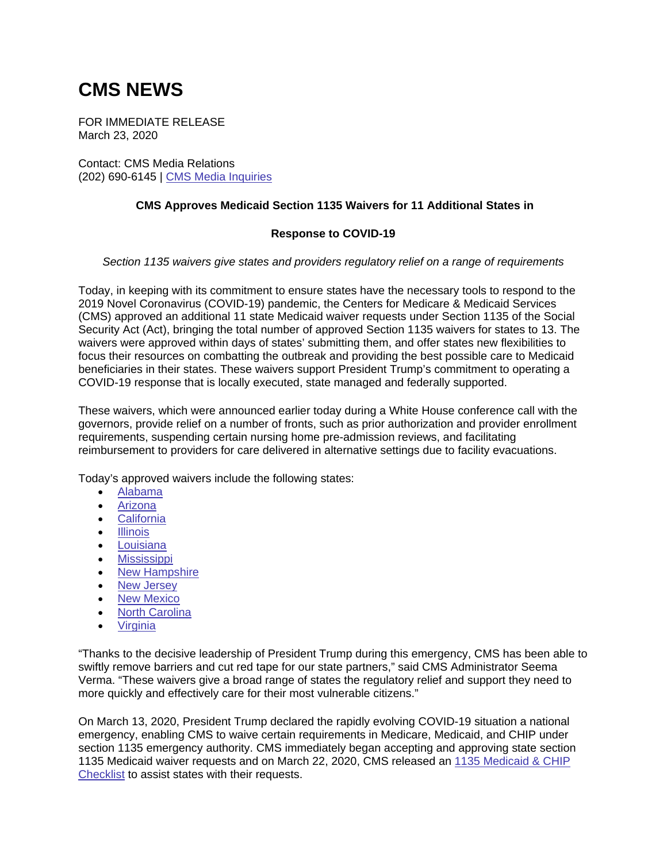## **CMS NEWS**

FOR IMMEDIATE RELEASE March 23, 2020

Contact: CMS Media Relations (202) 690-6145 | [CMS Media Inquiries](https://lnks.gd/l/eyJhbGciOiJIUzI1NiJ9.eyJidWxsZXRpbl9saW5rX2lkIjoxMDAsInVyaSI6ImJwMjpjbGljayIsImJ1bGxldGluX2lkIjoiMjAyMDAzMjQuMTkxOTQxMzEiLCJ1cmwiOiJodHRwOi8vZ28uY21zLmdvdi9tZWRpYSJ9.i3vO6mSYOQDh43RxLsCFdC2G9campjkWq_XUmafOpQ4/br/76528361159-l)

## **CMS Approves Medicaid Section 1135 Waivers for 11 Additional States in**

## **Response to COVID-19**

## *Section 1135 waivers give states and providers regulatory relief on a range of requirements*

Today, in keeping with its commitment to ensure states have the necessary tools to respond to the 2019 Novel Coronavirus (COVID-19) pandemic, the Centers for Medicare & Medicaid Services (CMS) approved an additional 11 state Medicaid waiver requests under Section 1135 of the Social Security Act (Act), bringing the total number of approved Section 1135 waivers for states to 13. The waivers were approved within days of states' submitting them, and offer states new flexibilities to focus their resources on combatting the outbreak and providing the best possible care to Medicaid beneficiaries in their states. These waivers support President Trump's commitment to operating a COVID-19 response that is locally executed, state managed and federally supported.

These waivers, which were announced earlier today during a White House conference call with the governors, provide relief on a number of fronts, such as prior authorization and provider enrollment requirements, suspending certain nursing home pre-admission reviews, and facilitating reimbursement to providers for care delivered in alternative settings due to facility evacuations.

Today's approved waivers include the following states:

- [Alabama](https://lnks.gd/l/eyJhbGciOiJIUzI1NiJ9.eyJidWxsZXRpbl9saW5rX2lkIjoxMDEsInVyaSI6ImJwMjpjbGljayIsImJ1bGxldGluX2lkIjoiMjAyMDAzMjQuMTkxOTQxMzEiLCJ1cmwiOiJodHRwczovL3d3dy5tZWRpY2FpZC5nb3Yvc3RhdGUtcmVzb3VyY2UtY2VudGVyL2Rpc2FzdGVyLXJlc3BvbnNlLXRvb2xraXQvZmVkZXJhbC1kaXNhc3Rlci1yZXNvdXJjZXMvP2VudHJ5PTU0MDI5In0.uJR2rU0J4qt3TEF1YGesnWj2HZ3vAnH9rRnxpExX48A/br/76528361159-l)
- [Arizona](https://lnks.gd/l/eyJhbGciOiJIUzI1NiJ9.eyJidWxsZXRpbl9saW5rX2lkIjoxMDIsInVyaSI6ImJwMjpjbGljayIsImJ1bGxldGluX2lkIjoiMjAyMDAzMjQuMTkxOTQxMzEiLCJ1cmwiOiJodHRwczovL3d3dy5tZWRpY2FpZC5nb3Yvc3RhdGUtcmVzb3VyY2UtY2VudGVyL2Rpc2FzdGVyLXJlc3BvbnNlLXRvb2xraXQvZmVkZXJhbC1kaXNhc3Rlci1yZXNvdXJjZXMvP2VudHJ5PTU0MDM0In0.k1fSY2_FI-tRPUhqRrdqXadmiinXTbDN3eimYso3Xls/br/76528361159-l)
- [California](https://www.medicaid.gov/state-resource-center/disaster-response-toolkit/federal-disaster-resources/?entry=54030)
- [Illinois](https://lnks.gd/l/eyJhbGciOiJIUzI1NiJ9.eyJidWxsZXRpbl9saW5rX2lkIjoxMDQsInVyaSI6ImJwMjpjbGljayIsImJ1bGxldGluX2lkIjoiMjAyMDAzMjQuMTkxOTQxMzEiLCJ1cmwiOiJodHRwczovL3d3dy5tZWRpY2FpZC5nb3Yvc3RhdGUtcmVzb3VyY2UtY2VudGVyL2Rpc2FzdGVyLXJlc3BvbnNlLXRvb2xraXQvZmVkZXJhbC1kaXNhc3Rlci1yZXNvdXJjZXMvP2VudHJ5PTU0MDM5In0.rQ1NMD4SD4owzN06B8OXxX_VjLbvwxTspXSzbzt4trM/br/76528361159-l)
- [Louisiana](https://lnks.gd/l/eyJhbGciOiJIUzI1NiJ9.eyJidWxsZXRpbl9saW5rX2lkIjoxMDUsInVyaSI6ImJwMjpjbGljayIsImJ1bGxldGluX2lkIjoiMjAyMDAzMjQuMTkxOTQxMzEiLCJ1cmwiOiJodHRwczovL3d3dy5tZWRpY2FpZC5nb3Yvc3RhdGUtcmVzb3VyY2UtY2VudGVyL2Rpc2FzdGVyLXJlc3BvbnNlLXRvb2xraXQvZmVkZXJhbC1kaXNhc3Rlci1yZXNvdXJjZXMvP2VudHJ5PTU0MDM4In0.Pib6W-Lm6mn4BqpaMenV1QyfV2x6FpsqdrKQ80y4qYA/br/76528361159-l)
- **•** [Mississippi](https://lnks.gd/l/eyJhbGciOiJIUzI1NiJ9.eyJidWxsZXRpbl9saW5rX2lkIjoxMDYsInVyaSI6ImJwMjpjbGljayIsImJ1bGxldGluX2lkIjoiMjAyMDAzMjQuMTkxOTQxMzEiLCJ1cmwiOiJodHRwczovL3d3dy5tZWRpY2FpZC5nb3Yvc3RhdGUtcmVzb3VyY2UtY2VudGVyL2Rpc2FzdGVyLXJlc3BvbnNlLXRvb2xraXQvZmVkZXJhbC1kaXNhc3Rlci1yZXNvdXJjZXMvP2VudHJ5PTU0MDM3In0.9yu_iguLhmpZH8GtSBIsBuQms3h29jEUMc6j7k5by8o/br/76528361159-l)
- [New Hampshire](https://lnks.gd/l/eyJhbGciOiJIUzI1NiJ9.eyJidWxsZXRpbl9saW5rX2lkIjoxMDcsInVyaSI6ImJwMjpjbGljayIsImJ1bGxldGluX2lkIjoiMjAyMDAzMjQuMTkxOTQxMzEiLCJ1cmwiOiJodHRwczovL3d3dy5tZWRpY2FpZC5nb3Yvc3RhdGUtcmVzb3VyY2UtY2VudGVyL2Rpc2FzdGVyLXJlc3BvbnNlLXRvb2xraXQvZmVkZXJhbC1kaXNhc3Rlci1yZXNvdXJjZXMvP2VudHJ5PTU0MDMxIn0.flKCHlFF1WBp_oNBtHSRq2mpb8sokQ90igkcVgs_ce4/br/76528361159-l)
- [New Jersey](https://lnks.gd/l/eyJhbGciOiJIUzI1NiJ9.eyJidWxsZXRpbl9saW5rX2lkIjoxMDgsInVyaSI6ImJwMjpjbGljayIsImJ1bGxldGluX2lkIjoiMjAyMDAzMjQuMTkxOTQxMzEiLCJ1cmwiOiJodHRwczovL3d3dy5tZWRpY2FpZC5nb3Yvc3RhdGUtcmVzb3VyY2UtY2VudGVyL2Rpc2FzdGVyLXJlc3BvbnNlLXRvb2xraXQvZmVkZXJhbC1kaXNhc3Rlci1yZXNvdXJjZXMvP2VudHJ5PTU0MDMzIn0.3OVzjd58yAYnTG8fxlzEfnDWp_fbIY5k43a-9ZYkFvQ/br/76528361159-l)
- [New Mexico](https://lnks.gd/l/eyJhbGciOiJIUzI1NiJ9.eyJidWxsZXRpbl9saW5rX2lkIjoxMDksInVyaSI6ImJwMjpjbGljayIsImJ1bGxldGluX2lkIjoiMjAyMDAzMjQuMTkxOTQxMzEiLCJ1cmwiOiJodHRwczovL3d3dy5tZWRpY2FpZC5nb3Yvc3RhdGUtcmVzb3VyY2UtY2VudGVyL2Rpc2FzdGVyLXJlc3BvbnNlLXRvb2xraXQvZmVkZXJhbC1kaXNhc3Rlci1yZXNvdXJjZXMvP2VudHJ5PTU0MDMyIn0.Ir-8oRswSExle3krZGQ487YU6MzLmP5QWERL25kKQhE/br/76528361159-l)
- [North Carolina](https://lnks.gd/l/eyJhbGciOiJIUzI1NiJ9.eyJidWxsZXRpbl9saW5rX2lkIjoxMTAsInVyaSI6ImJwMjpjbGljayIsImJ1bGxldGluX2lkIjoiMjAyMDAzMjQuMTkxOTQxMzEiLCJ1cmwiOiJodHRwczovL3d3dy5tZWRpY2FpZC5nb3Yvc3RhdGUtcmVzb3VyY2UtY2VudGVyL2Rpc2FzdGVyLXJlc3BvbnNlLXRvb2xraXQvZmVkZXJhbC1kaXNhc3Rlci1yZXNvdXJjZXMvP2VudHJ5PTU0MDM2In0.spB-WYC_QQPlkgDWGLqjKwxC7btgVGBnxRCz4e6K8_o/br/76528361159-l)
- [Virginia](https://lnks.gd/l/eyJhbGciOiJIUzI1NiJ9.eyJidWxsZXRpbl9saW5rX2lkIjoxMTEsInVyaSI6ImJwMjpjbGljayIsImJ1bGxldGluX2lkIjoiMjAyMDAzMjQuMTkxOTQxMzEiLCJ1cmwiOiJodHRwczovL3d3dy5tZWRpY2FpZC5nb3Yvc3RhdGUtcmVzb3VyY2UtY2VudGVyL2Rpc2FzdGVyLXJlc3BvbnNlLXRvb2xraXQvZmVkZXJhbC1kaXNhc3Rlci1yZXNvdXJjZXMvP2VudHJ5PTU0MDM1In0.23EhjQeuj41-XJtm8eBtRo5oSBzJmudVEs3jQqRACsM/br/76528361159-l)

"Thanks to the decisive leadership of President Trump during this emergency, CMS has been able to swiftly remove barriers and cut red tape for our state partners," said CMS Administrator Seema Verma. "These waivers give a broad range of states the regulatory relief and support they need to more quickly and effectively care for their most vulnerable citizens."

On March 13, 2020, President Trump declared the rapidly evolving COVID-19 situation a national emergency, enabling CMS to waive certain requirements in Medicare, Medicaid, and CHIP under section 1135 emergency authority. CMS immediately began accepting and approving state section 1135 Medicaid waiver requests and on March 22, 2020, CMS released an [1135 Medicaid & CHIP](https://lnks.gd/l/eyJhbGciOiJIUzI1NiJ9.eyJidWxsZXRpbl9saW5rX2lkIjoxMTIsInVyaSI6ImJwMjpjbGljayIsImJ1bGxldGluX2lkIjoiMjAyMDAzMjQuMTkxOTQxMzEiLCJ1cmwiOiJodHRwczovL3d3dy5tZWRpY2FpZC5nb3Yvc3RhdGUtcmVzb3VyY2UtY2VudGVyL2Rvd25sb2Fkcy8xMTM1LWNoZWNrbGlzdC10ZW1wbGF0ZS5wZGYifQ.Q7u-Eu5y1PprnI6NM3aSoTV5uH-sMV0TMtX_zlvC7t0/br/76528361159-l)  [Checklist](https://lnks.gd/l/eyJhbGciOiJIUzI1NiJ9.eyJidWxsZXRpbl9saW5rX2lkIjoxMTIsInVyaSI6ImJwMjpjbGljayIsImJ1bGxldGluX2lkIjoiMjAyMDAzMjQuMTkxOTQxMzEiLCJ1cmwiOiJodHRwczovL3d3dy5tZWRpY2FpZC5nb3Yvc3RhdGUtcmVzb3VyY2UtY2VudGVyL2Rvd25sb2Fkcy8xMTM1LWNoZWNrbGlzdC10ZW1wbGF0ZS5w) to assist states with their requests.